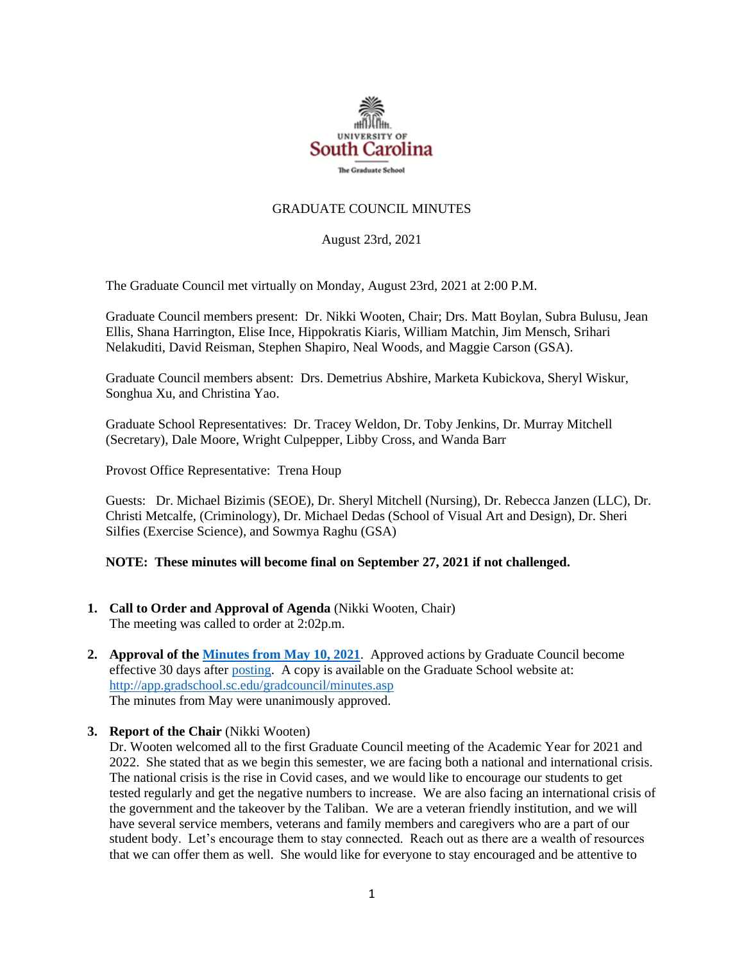

## GRADUATE COUNCIL MINUTES

August 23rd, 2021

The Graduate Council met virtually on Monday, August 23rd, 2021 at 2:00 P.M.

Graduate Council members present: Dr. Nikki Wooten, Chair; Drs. Matt Boylan, Subra Bulusu, Jean Ellis, Shana Harrington, Elise Ince, Hippokratis Kiaris, William Matchin, Jim Mensch, Srihari Nelakuditi, David Reisman, Stephen Shapiro, Neal Woods, and Maggie Carson (GSA).

Graduate Council members absent: Drs. Demetrius Abshire, Marketa Kubickova, Sheryl Wiskur, Songhua Xu, and Christina Yao.

Graduate School Representatives: Dr. Tracey Weldon, Dr. Toby Jenkins, Dr. Murray Mitchell (Secretary), Dale Moore, Wright Culpepper, Libby Cross, and Wanda Barr

Provost Office Representative: Trena Houp

Guests: Dr. Michael Bizimis (SEOE), Dr. Sheryl Mitchell (Nursing), Dr. Rebecca Janzen (LLC), Dr. Christi Metcalfe, (Criminology), Dr. Michael Dedas (School of Visual Art and Design), Dr. Sheri Silfies (Exercise Science), and Sowmya Raghu (GSA)

## **NOTE: These minutes will become final on September 27, 2021 if not challenged.**

- **1. Call to Order and Approval of Agenda** (Nikki Wooten, Chair) The meeting was called to order at 2:02p.m.
- **2. Approval of th[e Minutes from May 10, 2021](file://///COSSLAOthello.ds.sc.edu/MIRROR/GRAD/WANDAB/Profile/Documents/Agendas%20and%20Minutes/GCMINUTES%205.10.21.%20MFM.pdf)**. Approved actions by Graduate Council become effective 30 days after [posting.](file://///COSSLAOthello.ds.sc.edu/MIRROR/GRAD/WANDAB/Profile/Documents/Agendas%20and%20Minutes/GCMINUTES4.26.21%20MFM.pdf) A copy is available on the Graduate School website at: <http://app.gradschool.sc.edu/gradcouncil/minutes.asp> The minutes from May were unanimously approved.
- **3. Report of the Chair** (Nikki Wooten)

Dr. Wooten welcomed all to the first Graduate Council meeting of the Academic Year for 2021 and 2022. She stated that as we begin this semester, we are facing both a national and international crisis. The national crisis is the rise in Covid cases, and we would like to encourage our students to get tested regularly and get the negative numbers to increase. We are also facing an international crisis of the government and the takeover by the Taliban. We are a veteran friendly institution, and we will have several service members, veterans and family members and caregivers who are a part of our student body. Let's encourage them to stay connected. Reach out as there are a wealth of resources that we can offer them as well. She would like for everyone to stay encouraged and be attentive to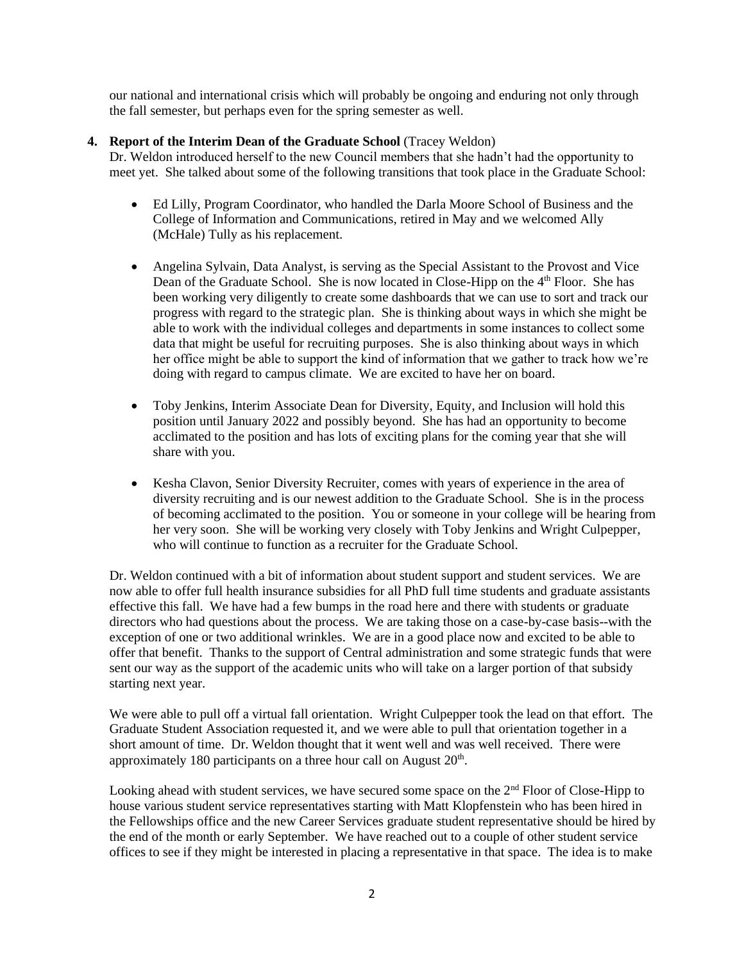our national and international crisis which will probably be ongoing and enduring not only through the fall semester, but perhaps even for the spring semester as well.

## **4. Report of the Interim Dean of the Graduate School** (Tracey Weldon)

Dr. Weldon introduced herself to the new Council members that she hadn't had the opportunity to meet yet. She talked about some of the following transitions that took place in the Graduate School:

- Ed Lilly, Program Coordinator, who handled the Darla Moore School of Business and the College of Information and Communications, retired in May and we welcomed Ally (McHale) Tully as his replacement.
- Angelina Sylvain, Data Analyst, is serving as the Special Assistant to the Provost and Vice Dean of the Graduate School. She is now located in Close-Hipp on the 4<sup>th</sup> Floor. She has been working very diligently to create some dashboards that we can use to sort and track our progress with regard to the strategic plan. She is thinking about ways in which she might be able to work with the individual colleges and departments in some instances to collect some data that might be useful for recruiting purposes. She is also thinking about ways in which her office might be able to support the kind of information that we gather to track how we're doing with regard to campus climate. We are excited to have her on board.
- Toby Jenkins, Interim Associate Dean for Diversity, Equity, and Inclusion will hold this position until January 2022 and possibly beyond. She has had an opportunity to become acclimated to the position and has lots of exciting plans for the coming year that she will share with you.
- Kesha Clavon, Senior Diversity Recruiter, comes with years of experience in the area of diversity recruiting and is our newest addition to the Graduate School. She is in the process of becoming acclimated to the position. You or someone in your college will be hearing from her very soon. She will be working very closely with Toby Jenkins and Wright Culpepper, who will continue to function as a recruiter for the Graduate School.

Dr. Weldon continued with a bit of information about student support and student services. We are now able to offer full health insurance subsidies for all PhD full time students and graduate assistants effective this fall. We have had a few bumps in the road here and there with students or graduate directors who had questions about the process. We are taking those on a case-by-case basis--with the exception of one or two additional wrinkles. We are in a good place now and excited to be able to offer that benefit. Thanks to the support of Central administration and some strategic funds that were sent our way as the support of the academic units who will take on a larger portion of that subsidy starting next year.

We were able to pull off a virtual fall orientation. Wright Culpepper took the lead on that effort. The Graduate Student Association requested it, and we were able to pull that orientation together in a short amount of time. Dr. Weldon thought that it went well and was well received. There were approximately 180 participants on a three hour call on August  $20<sup>th</sup>$ .

Looking ahead with student services, we have secured some space on the  $2<sup>nd</sup>$  Floor of Close-Hipp to house various student service representatives starting with Matt Klopfenstein who has been hired in the Fellowships office and the new Career Services graduate student representative should be hired by the end of the month or early September. We have reached out to a couple of other student service offices to see if they might be interested in placing a representative in that space. The idea is to make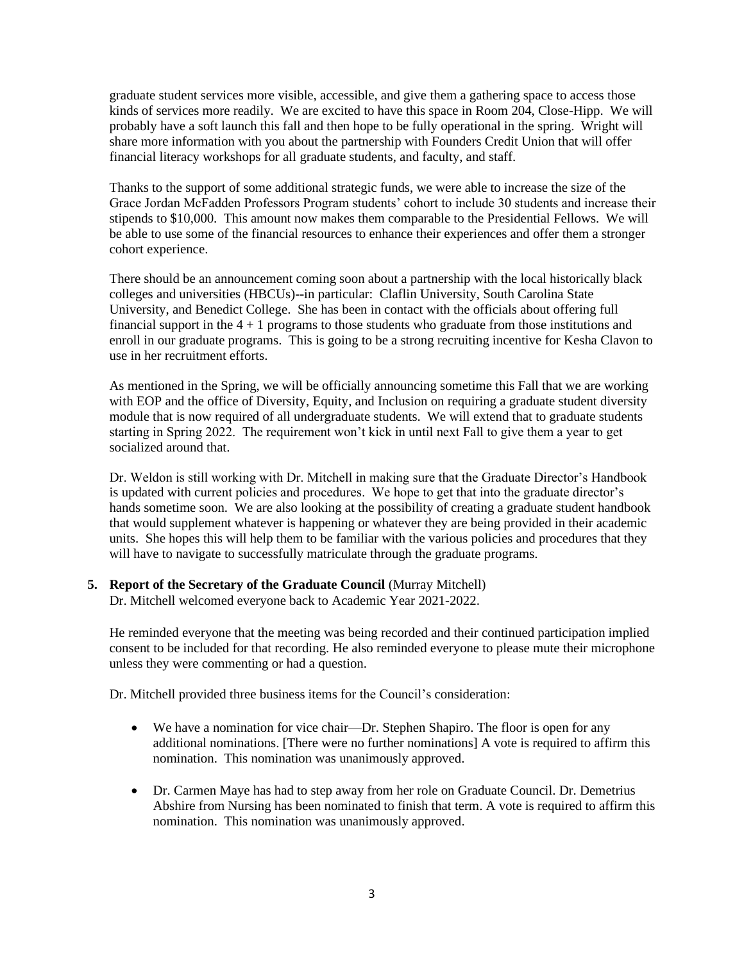graduate student services more visible, accessible, and give them a gathering space to access those kinds of services more readily. We are excited to have this space in Room 204, Close-Hipp. We will probably have a soft launch this fall and then hope to be fully operational in the spring. Wright will share more information with you about the partnership with Founders Credit Union that will offer financial literacy workshops for all graduate students, and faculty, and staff.

Thanks to the support of some additional strategic funds, we were able to increase the size of the Grace Jordan McFadden Professors Program students' cohort to include 30 students and increase their stipends to \$10,000. This amount now makes them comparable to the Presidential Fellows. We will be able to use some of the financial resources to enhance their experiences and offer them a stronger cohort experience.

There should be an announcement coming soon about a partnership with the local historically black colleges and universities (HBCUs)--in particular: Claflin University, South Carolina State University, and Benedict College. She has been in contact with the officials about offering full financial support in the  $4 + 1$  programs to those students who graduate from those institutions and enroll in our graduate programs. This is going to be a strong recruiting incentive for Kesha Clavon to use in her recruitment efforts.

As mentioned in the Spring, we will be officially announcing sometime this Fall that we are working with EOP and the office of Diversity, Equity, and Inclusion on requiring a graduate student diversity module that is now required of all undergraduate students. We will extend that to graduate students starting in Spring 2022. The requirement won't kick in until next Fall to give them a year to get socialized around that.

Dr. Weldon is still working with Dr. Mitchell in making sure that the Graduate Director's Handbook is updated with current policies and procedures. We hope to get that into the graduate director's hands sometime soon. We are also looking at the possibility of creating a graduate student handbook that would supplement whatever is happening or whatever they are being provided in their academic units. She hopes this will help them to be familiar with the various policies and procedures that they will have to navigate to successfully matriculate through the graduate programs.

## **5. Report of the Secretary of the Graduate Council** (Murray Mitchell)

Dr. Mitchell welcomed everyone back to Academic Year 2021-2022.

He reminded everyone that the meeting was being recorded and their continued participation implied consent to be included for that recording. He also reminded everyone to please mute their microphone unless they were commenting or had a question.

Dr. Mitchell provided three business items for the Council's consideration:

- We have a nomination for vice chair—Dr. Stephen Shapiro. The floor is open for any additional nominations. [There were no further nominations] A vote is required to affirm this nomination. This nomination was unanimously approved.
- Dr. Carmen Maye has had to step away from her role on Graduate Council. Dr. Demetrius Abshire from Nursing has been nominated to finish that term. A vote is required to affirm this nomination. This nomination was unanimously approved.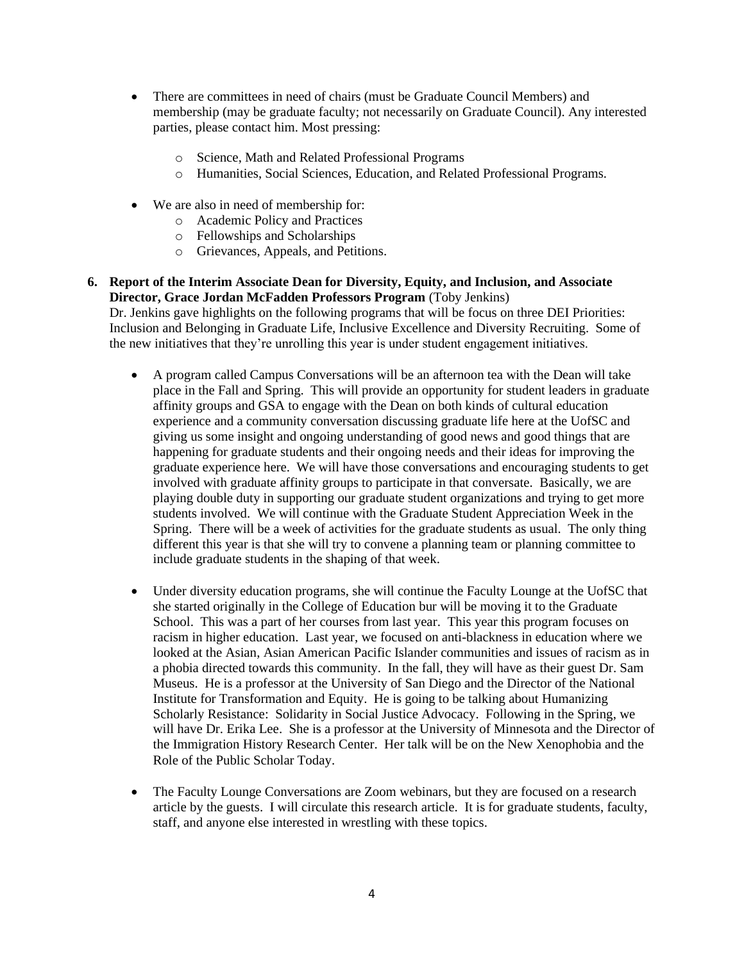- There are committees in need of chairs (must be Graduate Council Members) and membership (may be graduate faculty; not necessarily on Graduate Council). Any interested parties, please contact him. Most pressing:
	- o Science, Math and Related Professional Programs
	- o Humanities, Social Sciences, Education, and Related Professional Programs.
- We are also in need of membership for:
	- o Academic Policy and Practices
	- o Fellowships and Scholarships
	- o Grievances, Appeals, and Petitions.
- **6. Report of the Interim Associate Dean for Diversity, Equity, and Inclusion, and Associate Director, Grace Jordan McFadden Professors Program** (Toby Jenkins) Dr. Jenkins gave highlights on the following programs that will be focus on three DEI Priorities: Inclusion and Belonging in Graduate Life, Inclusive Excellence and Diversity Recruiting. Some of the new initiatives that they're unrolling this year is under student engagement initiatives.
	- A program called Campus Conversations will be an afternoon tea with the Dean will take place in the Fall and Spring. This will provide an opportunity for student leaders in graduate affinity groups and GSA to engage with the Dean on both kinds of cultural education experience and a community conversation discussing graduate life here at the UofSC and giving us some insight and ongoing understanding of good news and good things that are happening for graduate students and their ongoing needs and their ideas for improving the graduate experience here. We will have those conversations and encouraging students to get involved with graduate affinity groups to participate in that conversate. Basically, we are playing double duty in supporting our graduate student organizations and trying to get more students involved. We will continue with the Graduate Student Appreciation Week in the Spring. There will be a week of activities for the graduate students as usual. The only thing different this year is that she will try to convene a planning team or planning committee to include graduate students in the shaping of that week.
	- Under diversity education programs, she will continue the Faculty Lounge at the UofSC that she started originally in the College of Education bur will be moving it to the Graduate School. This was a part of her courses from last year. This year this program focuses on racism in higher education. Last year, we focused on anti-blackness in education where we looked at the Asian, Asian American Pacific Islander communities and issues of racism as in a phobia directed towards this community. In the fall, they will have as their guest Dr. Sam Museus. He is a professor at the University of San Diego and the Director of the National Institute for Transformation and Equity. He is going to be talking about Humanizing Scholarly Resistance: Solidarity in Social Justice Advocacy. Following in the Spring, we will have Dr. Erika Lee. She is a professor at the University of Minnesota and the Director of the Immigration History Research Center. Her talk will be on the New Xenophobia and the Role of the Public Scholar Today.
	- The Faculty Lounge Conversations are Zoom webinars, but they are focused on a research article by the guests. I will circulate this research article. It is for graduate students, faculty, staff, and anyone else interested in wrestling with these topics.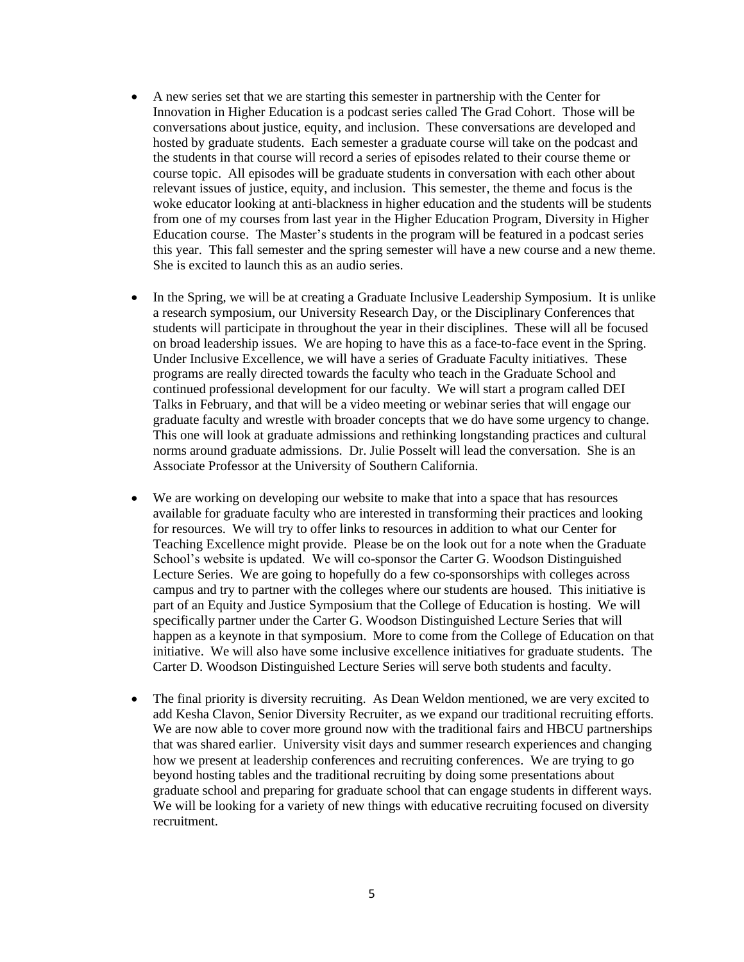- A new series set that we are starting this semester in partnership with the Center for Innovation in Higher Education is a podcast series called The Grad Cohort. Those will be conversations about justice, equity, and inclusion. These conversations are developed and hosted by graduate students. Each semester a graduate course will take on the podcast and the students in that course will record a series of episodes related to their course theme or course topic. All episodes will be graduate students in conversation with each other about relevant issues of justice, equity, and inclusion. This semester, the theme and focus is the woke educator looking at anti-blackness in higher education and the students will be students from one of my courses from last year in the Higher Education Program, Diversity in Higher Education course. The Master's students in the program will be featured in a podcast series this year. This fall semester and the spring semester will have a new course and a new theme. She is excited to launch this as an audio series.
- In the Spring, we will be at creating a Graduate Inclusive Leadership Symposium. It is unlike a research symposium, our University Research Day, or the Disciplinary Conferences that students will participate in throughout the year in their disciplines. These will all be focused on broad leadership issues. We are hoping to have this as a face-to-face event in the Spring. Under Inclusive Excellence, we will have a series of Graduate Faculty initiatives. These programs are really directed towards the faculty who teach in the Graduate School and continued professional development for our faculty. We will start a program called DEI Talks in February, and that will be a video meeting or webinar series that will engage our graduate faculty and wrestle with broader concepts that we do have some urgency to change. This one will look at graduate admissions and rethinking longstanding practices and cultural norms around graduate admissions. Dr. Julie Posselt will lead the conversation. She is an Associate Professor at the University of Southern California.
- We are working on developing our website to make that into a space that has resources available for graduate faculty who are interested in transforming their practices and looking for resources. We will try to offer links to resources in addition to what our Center for Teaching Excellence might provide. Please be on the look out for a note when the Graduate School's website is updated. We will co-sponsor the Carter G. Woodson Distinguished Lecture Series. We are going to hopefully do a few co-sponsorships with colleges across campus and try to partner with the colleges where our students are housed. This initiative is part of an Equity and Justice Symposium that the College of Education is hosting. We will specifically partner under the Carter G. Woodson Distinguished Lecture Series that will happen as a keynote in that symposium. More to come from the College of Education on that initiative. We will also have some inclusive excellence initiatives for graduate students. The Carter D. Woodson Distinguished Lecture Series will serve both students and faculty.
- The final priority is diversity recruiting. As Dean Weldon mentioned, we are very excited to add Kesha Clavon, Senior Diversity Recruiter, as we expand our traditional recruiting efforts. We are now able to cover more ground now with the traditional fairs and HBCU partnerships that was shared earlier. University visit days and summer research experiences and changing how we present at leadership conferences and recruiting conferences. We are trying to go beyond hosting tables and the traditional recruiting by doing some presentations about graduate school and preparing for graduate school that can engage students in different ways. We will be looking for a variety of new things with educative recruiting focused on diversity recruitment.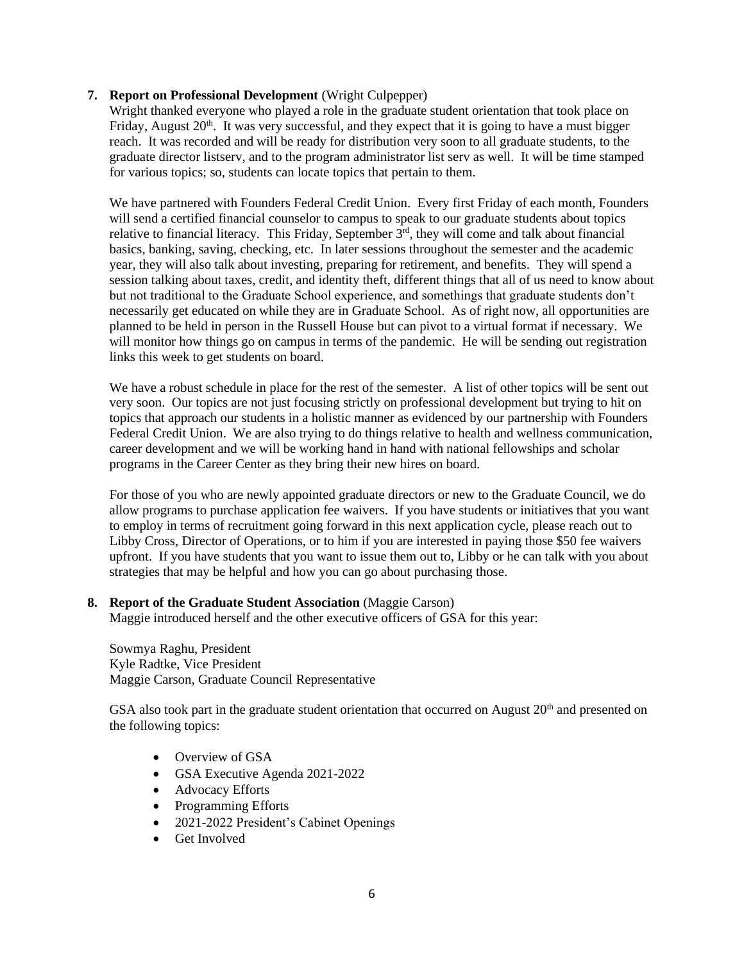## **7. Report on Professional Development** (Wright Culpepper)

Wright thanked everyone who played a role in the graduate student orientation that took place on Friday, August  $20<sup>th</sup>$ . It was very successful, and they expect that it is going to have a must bigger reach. It was recorded and will be ready for distribution very soon to all graduate students, to the graduate director listserv, and to the program administrator list serv as well. It will be time stamped for various topics; so, students can locate topics that pertain to them.

We have partnered with Founders Federal Credit Union. Every first Friday of each month, Founders will send a certified financial counselor to campus to speak to our graduate students about topics relative to financial literacy. This Friday, September  $3<sup>rd</sup>$ , they will come and talk about financial basics, banking, saving, checking, etc. In later sessions throughout the semester and the academic year, they will also talk about investing, preparing for retirement, and benefits. They will spend a session talking about taxes, credit, and identity theft, different things that all of us need to know about but not traditional to the Graduate School experience, and somethings that graduate students don't necessarily get educated on while they are in Graduate School. As of right now, all opportunities are planned to be held in person in the Russell House but can pivot to a virtual format if necessary. We will monitor how things go on campus in terms of the pandemic. He will be sending out registration links this week to get students on board.

We have a robust schedule in place for the rest of the semester. A list of other topics will be sent out very soon. Our topics are not just focusing strictly on professional development but trying to hit on topics that approach our students in a holistic manner as evidenced by our partnership with Founders Federal Credit Union. We are also trying to do things relative to health and wellness communication, career development and we will be working hand in hand with national fellowships and scholar programs in the Career Center as they bring their new hires on board.

For those of you who are newly appointed graduate directors or new to the Graduate Council, we do allow programs to purchase application fee waivers. If you have students or initiatives that you want to employ in terms of recruitment going forward in this next application cycle, please reach out to Libby Cross, Director of Operations, or to him if you are interested in paying those \$50 fee waivers upfront. If you have students that you want to issue them out to, Libby or he can talk with you about strategies that may be helpful and how you can go about purchasing those.

#### **8. Report of the Graduate Student Association** (Maggie Carson)

Maggie introduced herself and the other executive officers of GSA for this year:

Sowmya Raghu, President Kyle Radtke, Vice President Maggie Carson, Graduate Council Representative

GSA also took part in the graduate student orientation that occurred on August  $20<sup>th</sup>$  and presented on the following topics:

- Overview of GSA
- GSA Executive Agenda 2021-2022
- Advocacy Efforts
- Programming Efforts
- 2021-2022 President's Cabinet Openings
- Get Involved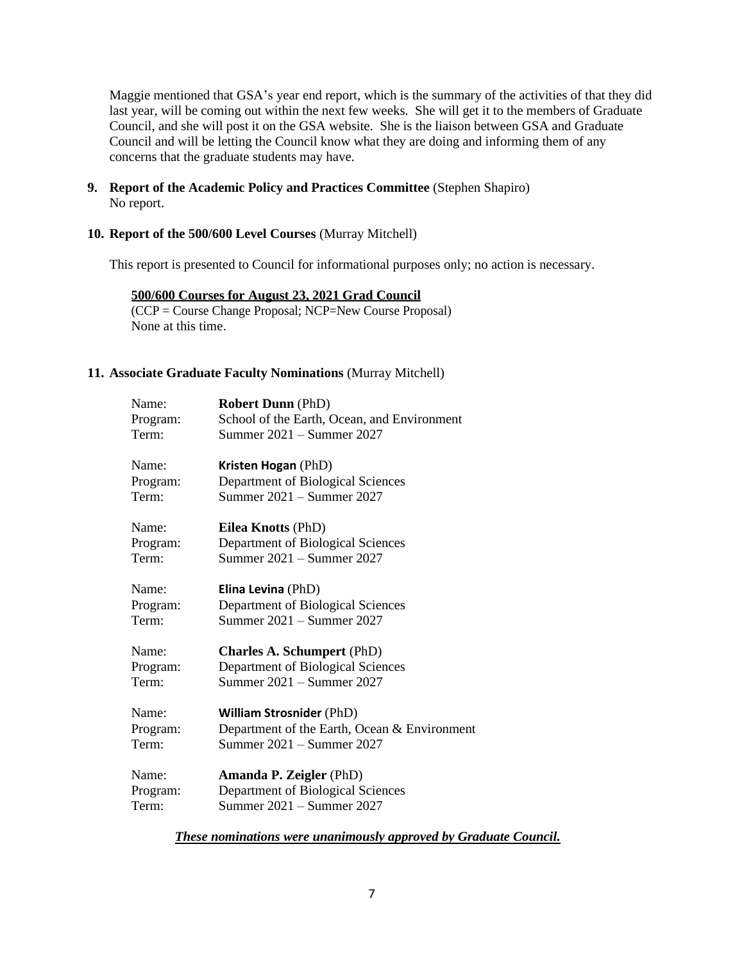Maggie mentioned that GSA's year end report, which is the summary of the activities of that they did last year, will be coming out within the next few weeks. She will get it to the members of Graduate Council, and she will post it on the GSA website. She is the liaison between GSA and Graduate Council and will be letting the Council know what they are doing and informing them of any concerns that the graduate students may have.

**9. Report of the Academic Policy and Practices Committee** (Stephen Shapiro) No report.

## **10. Report of the 500/600 Level Courses** (Murray Mitchell)

This report is presented to Council for informational purposes only; no action is necessary.

**500/600 Courses for August 23, 2021 Grad Council** (CCP = Course Change Proposal; NCP=New Course Proposal) None at this time.

#### **11. Associate Graduate Faculty Nominations** (Murray Mitchell)

| Name:    | <b>Robert Dunn</b> (PhD)                     |
|----------|----------------------------------------------|
| Program: | School of the Earth, Ocean, and Environment  |
| Term:    | Summer 2021 - Summer 2027                    |
| Name:    | Kristen Hogan (PhD)                          |
| Program: | Department of Biological Sciences            |
| Term:    | Summer 2021 - Summer 2027                    |
| Name:    | <b>Eilea Knotts (PhD)</b>                    |
| Program: | Department of Biological Sciences            |
| Term:    | Summer 2021 – Summer 2027                    |
| Name:    | Elina Levina (PhD)                           |
| Program: | Department of Biological Sciences            |
| Term:    | Summer 2021 – Summer 2027                    |
| Name:    | <b>Charles A. Schumpert (PhD)</b>            |
| Program: | Department of Biological Sciences            |
| Term:    | Summer 2021 – Summer 2027                    |
| Name:    | <b>William Strosnider (PhD)</b>              |
| Program: | Department of the Earth, Ocean & Environment |
| Term:    | Summer 2021 – Summer 2027                    |
| Name:    | <b>Amanda P. Zeigler (PhD)</b>               |
| Program: | Department of Biological Sciences            |
| Term:    | Summer 2021 – Summer 2027                    |

*These nominations were unanimously approved by Graduate Council.*